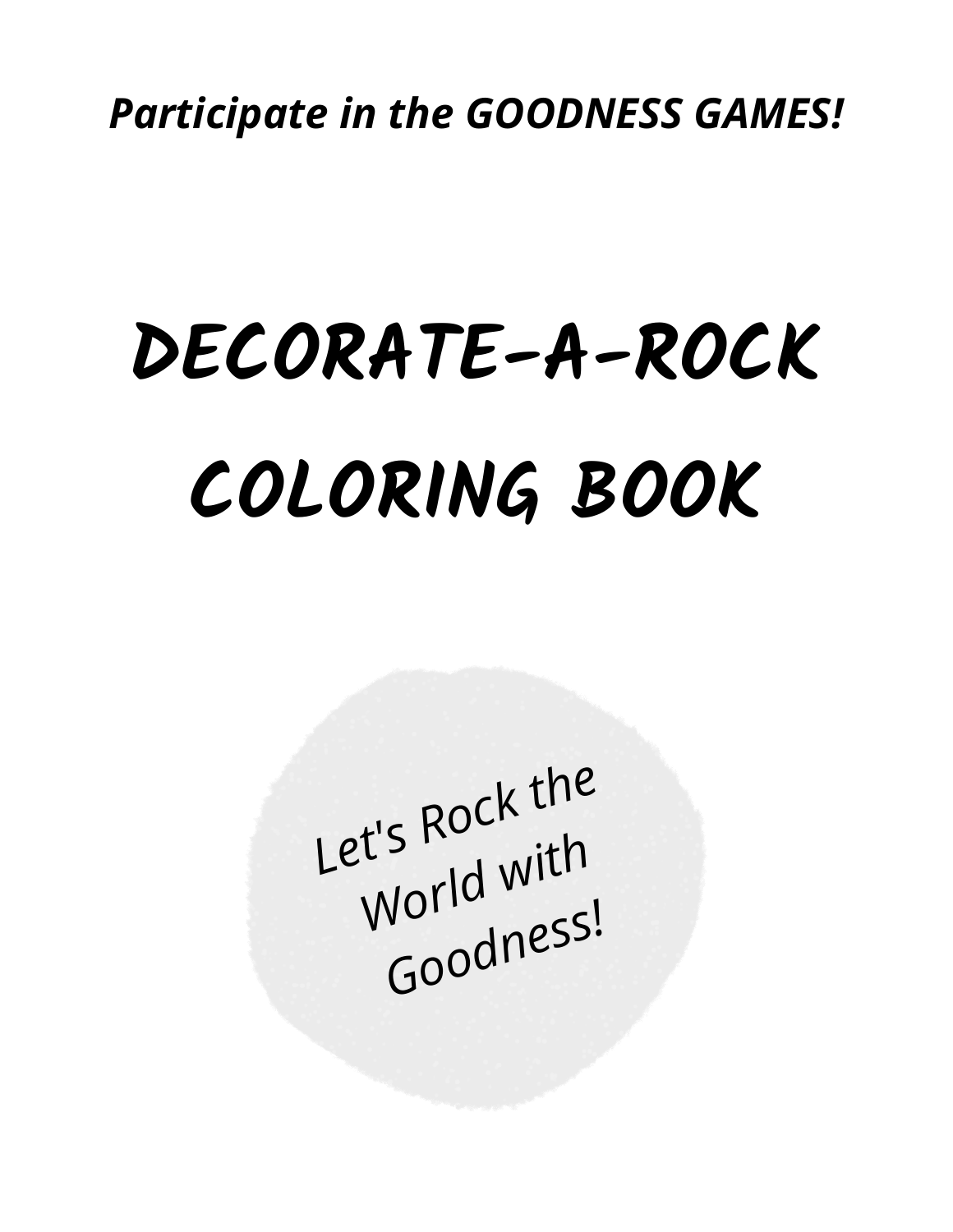# **COLORING BOOK DECORATE-A-ROCK**

*Let's Rock the World with Goodness!*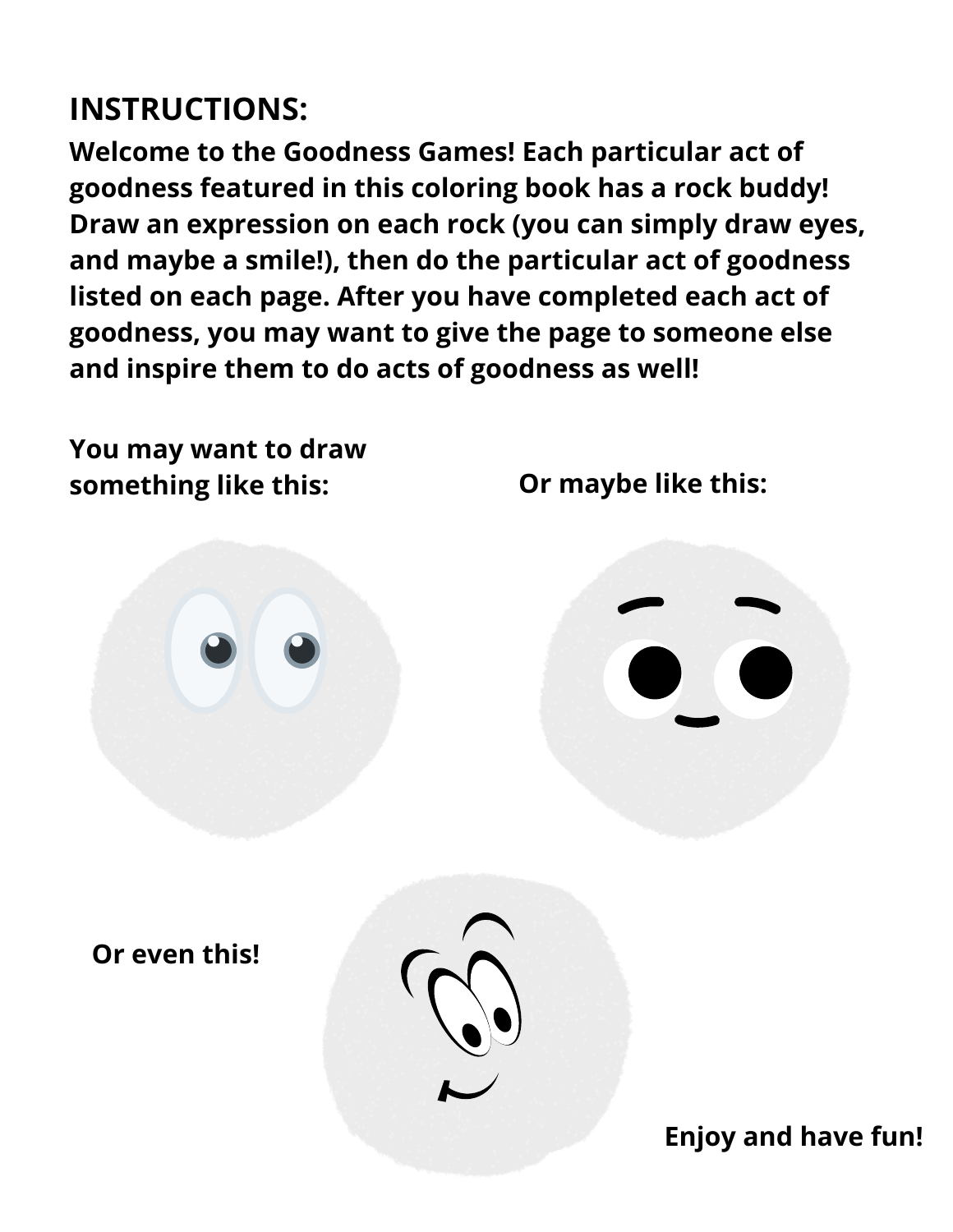#### **INSTRUCTIONS:**

**Welcome to the Goodness Games! Each particular act of goodness featured in this coloring book has a rock buddy! Draw an expression on each rock (you can simply draw eyes, and maybe a smile!), then do the particular act of goodness listed on each page. After you have completed each act of goodness, you may want to give the page to someone else and inspire them to do acts of goodness as well!**

**You may want to draw something like this: Or maybe like this: Or even this! Enjoy and have fun!**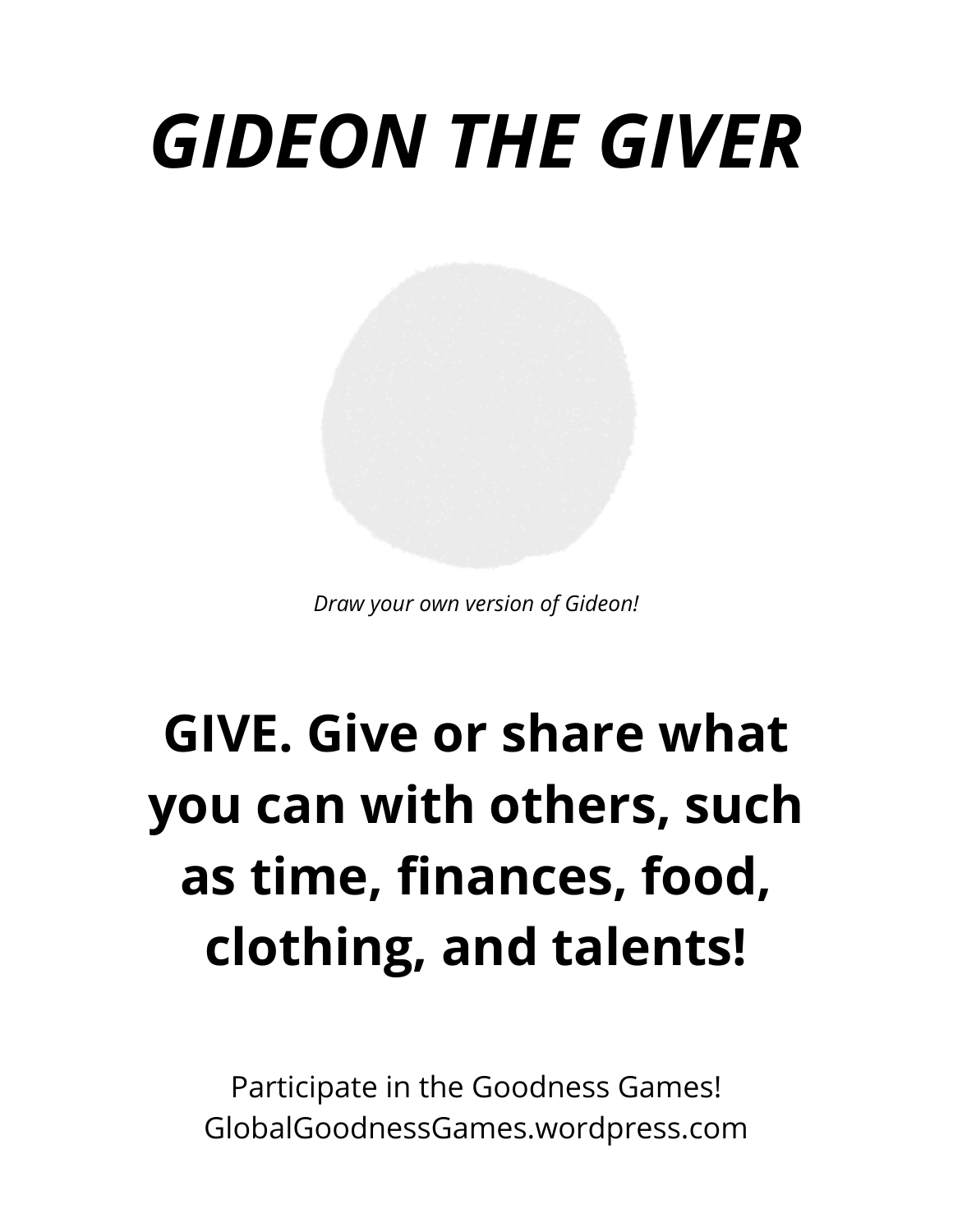# *GIDEON THE GIVER*

*Draw your own version of Gideon!*

### **GIVE. Give or share what you can with others, such as time, finances, food, clothing, and talents!**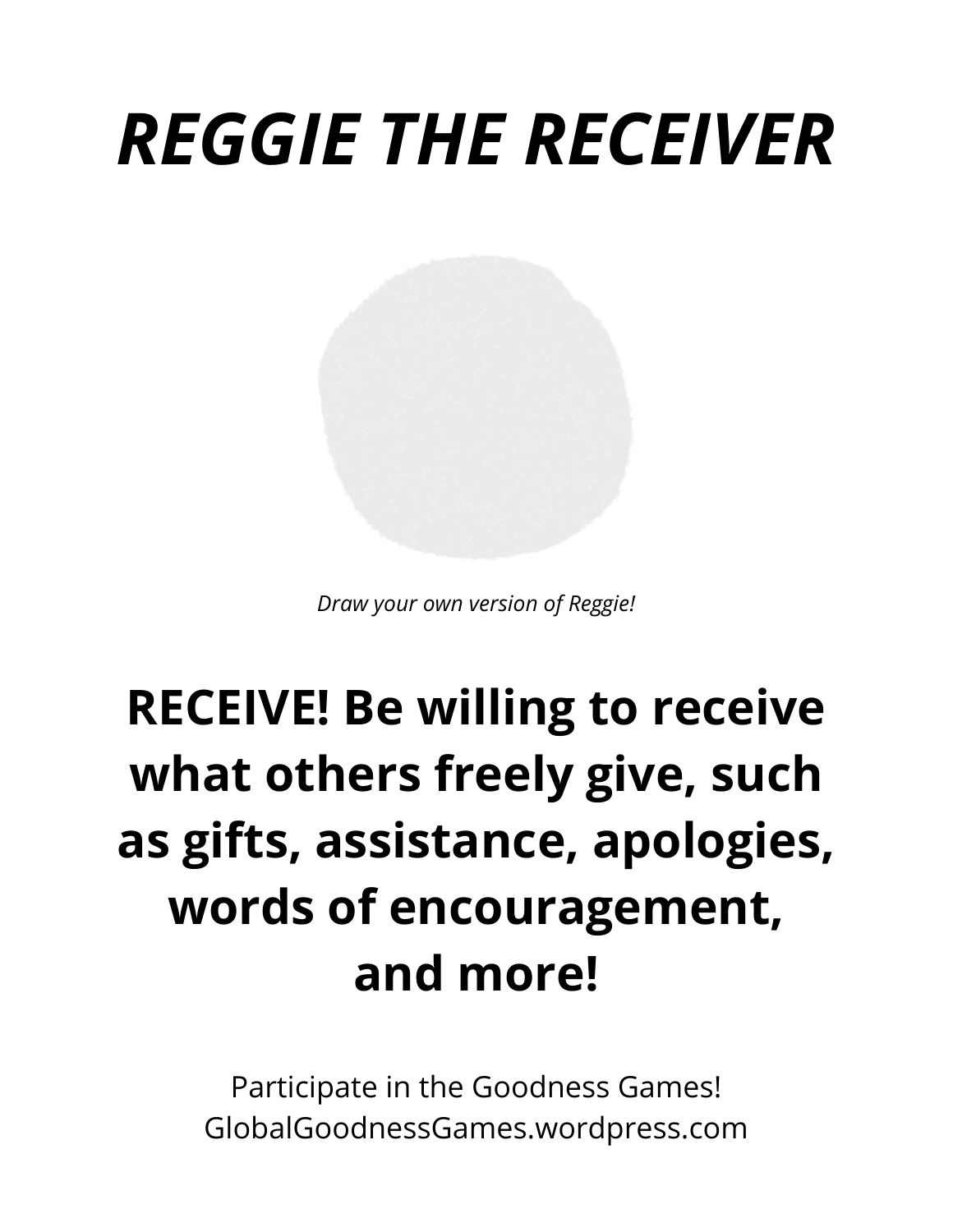### *REGGIE THE RECEIVER*

*Draw your own version of Reggie!*

### **RECEIVE! Be willing to receive what others freely give, such as gifts, assistance, apologies, words of encouragement, and more!**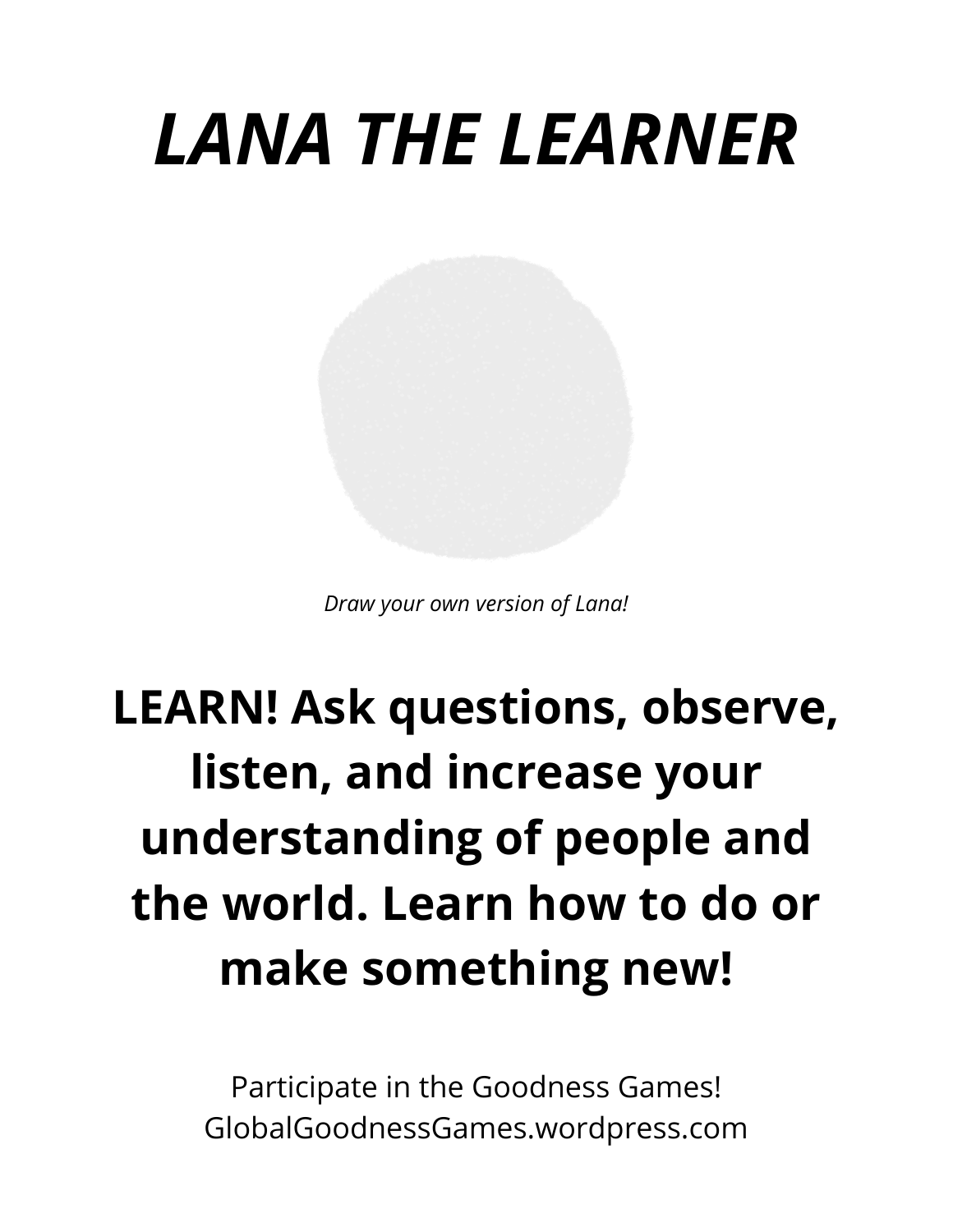## *LANA THE LEARNER*

*Draw your own version of Lana!*

#### **LEARN! Ask questions, observe, listen, and increase your understanding of people and the world. Learn how to do or make something new!**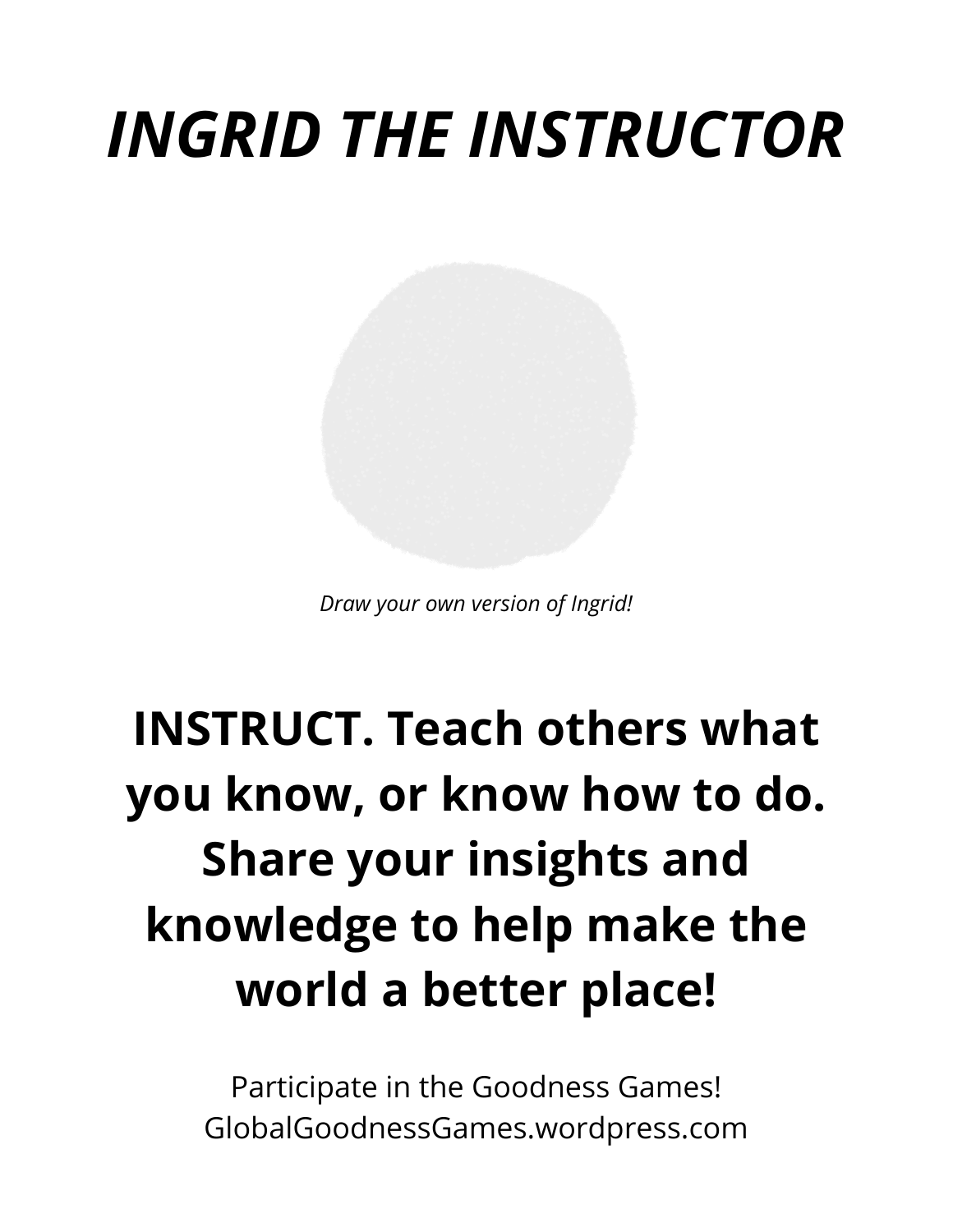### *INGRID THE INSTRUCTOR*

*Draw your own version of Ingrid!*

### **INSTRUCT. Teach others what you know, or know how to do. Share your insights and knowledge to help make the world a better place!**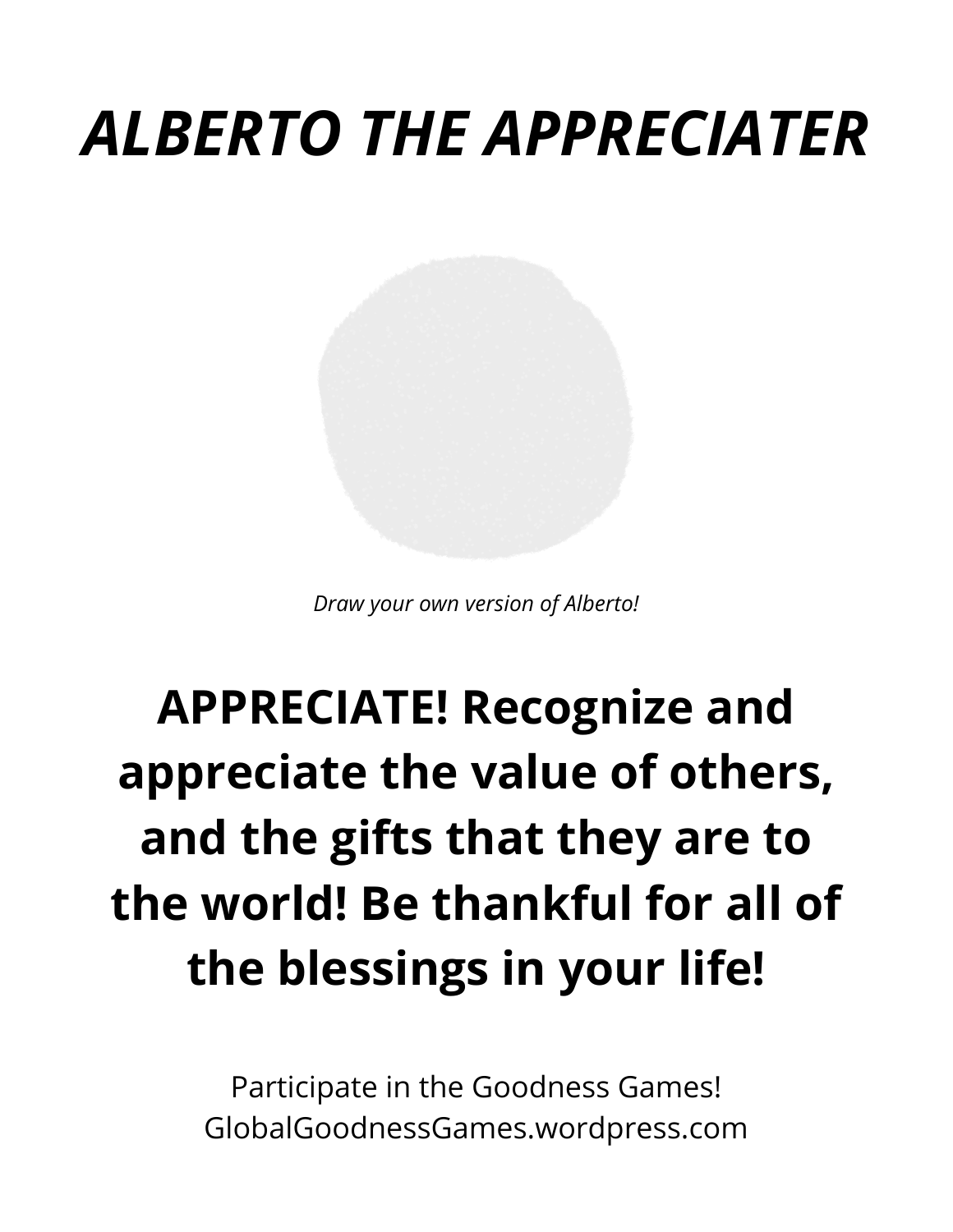### *ALBERTO THE APPRECIATER*

*Draw your own version of Alberto!*

### **APPRECIATE! Recognize and appreciate the value of others, and the gifts that they are to the world! Be thankful for all of the blessings in your life!**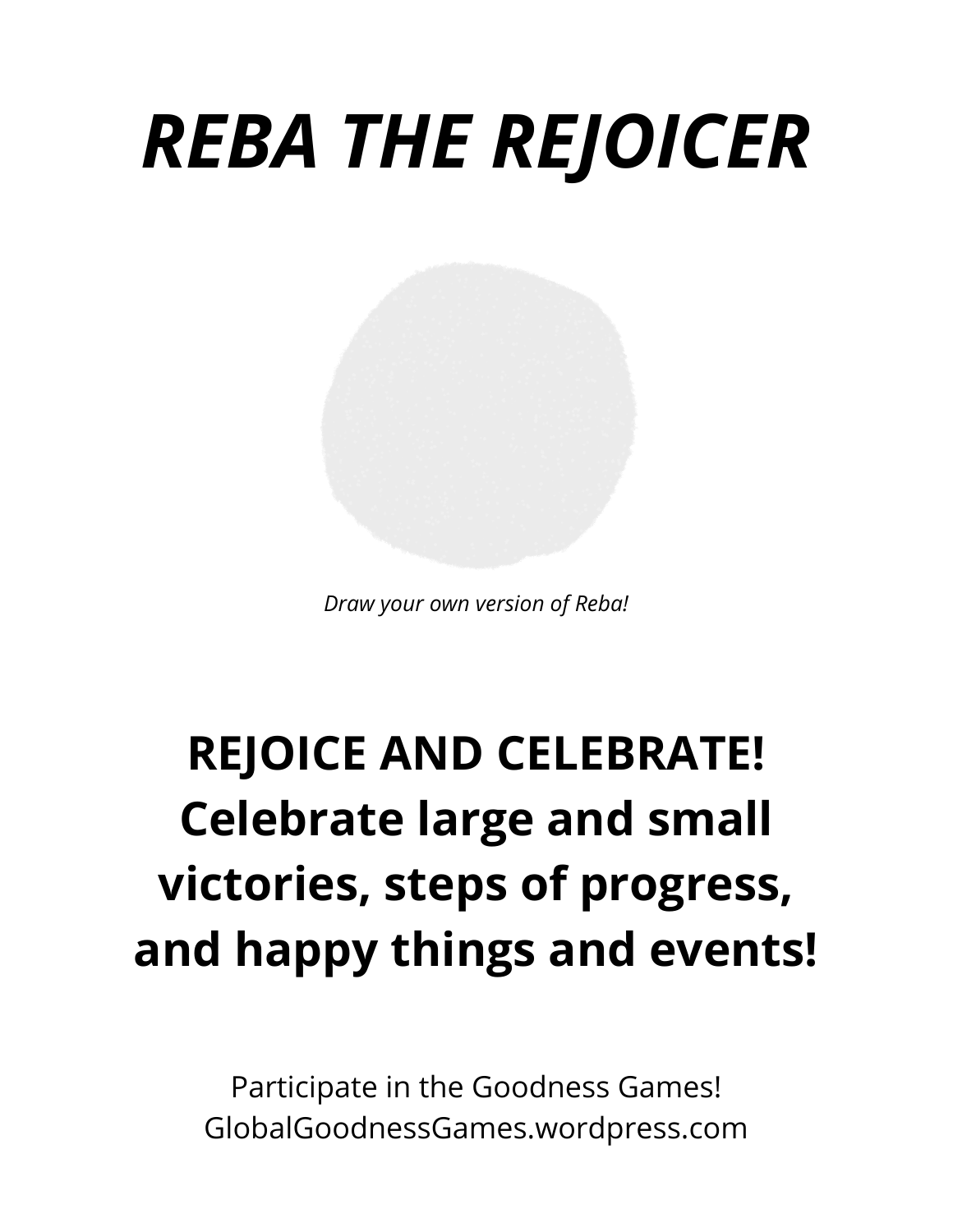# *REBA THE REJOICER*

*Draw your own version of Reba!*

#### **REJOICE AND CELEBRATE! Celebrate large and small victories, steps of progress, and happy things and events!**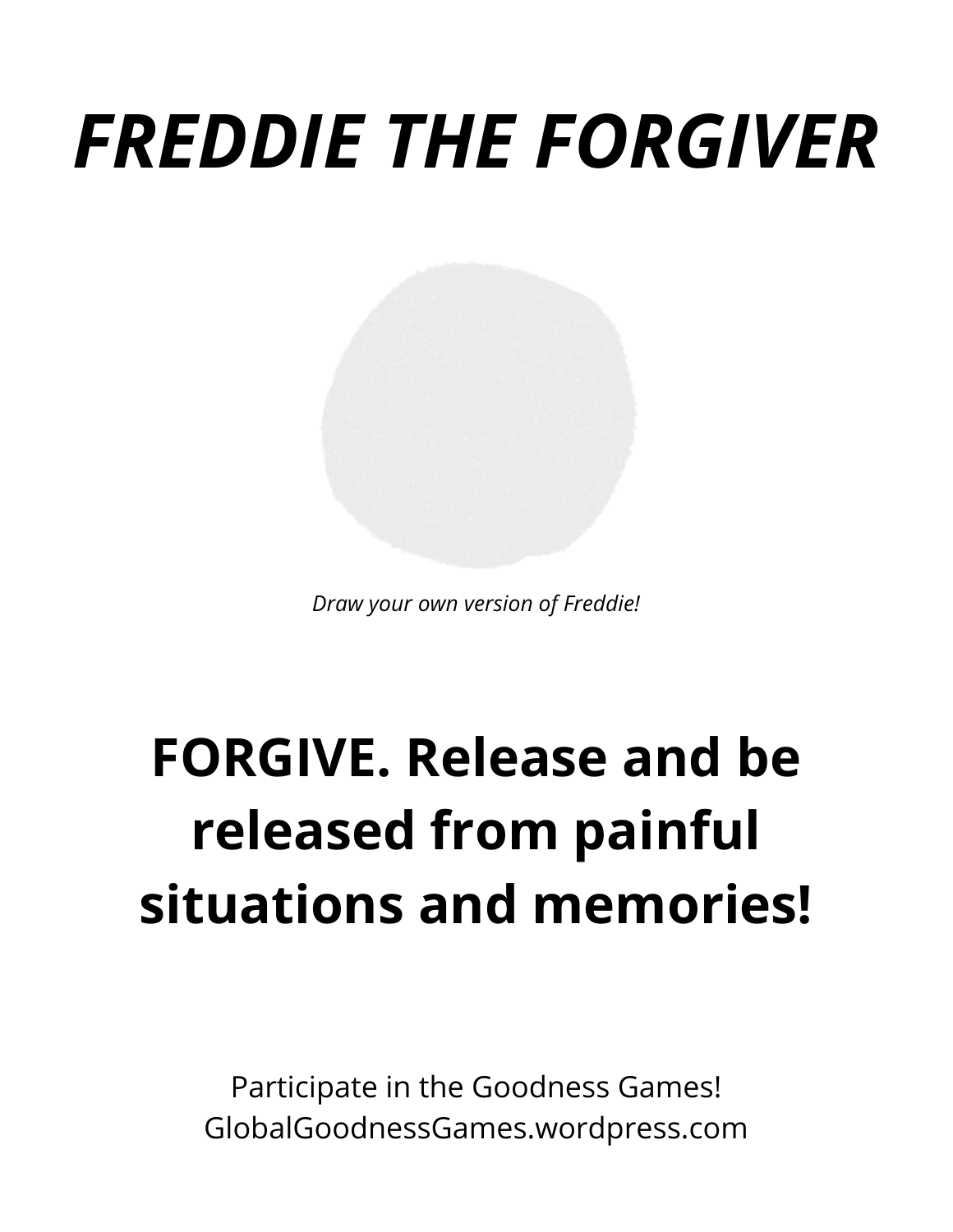# *FREDDIE THE FORGIVER*

*Draw your own version of Freddie!*

### **FORGIVE. Release and be released from painful situations and memories!**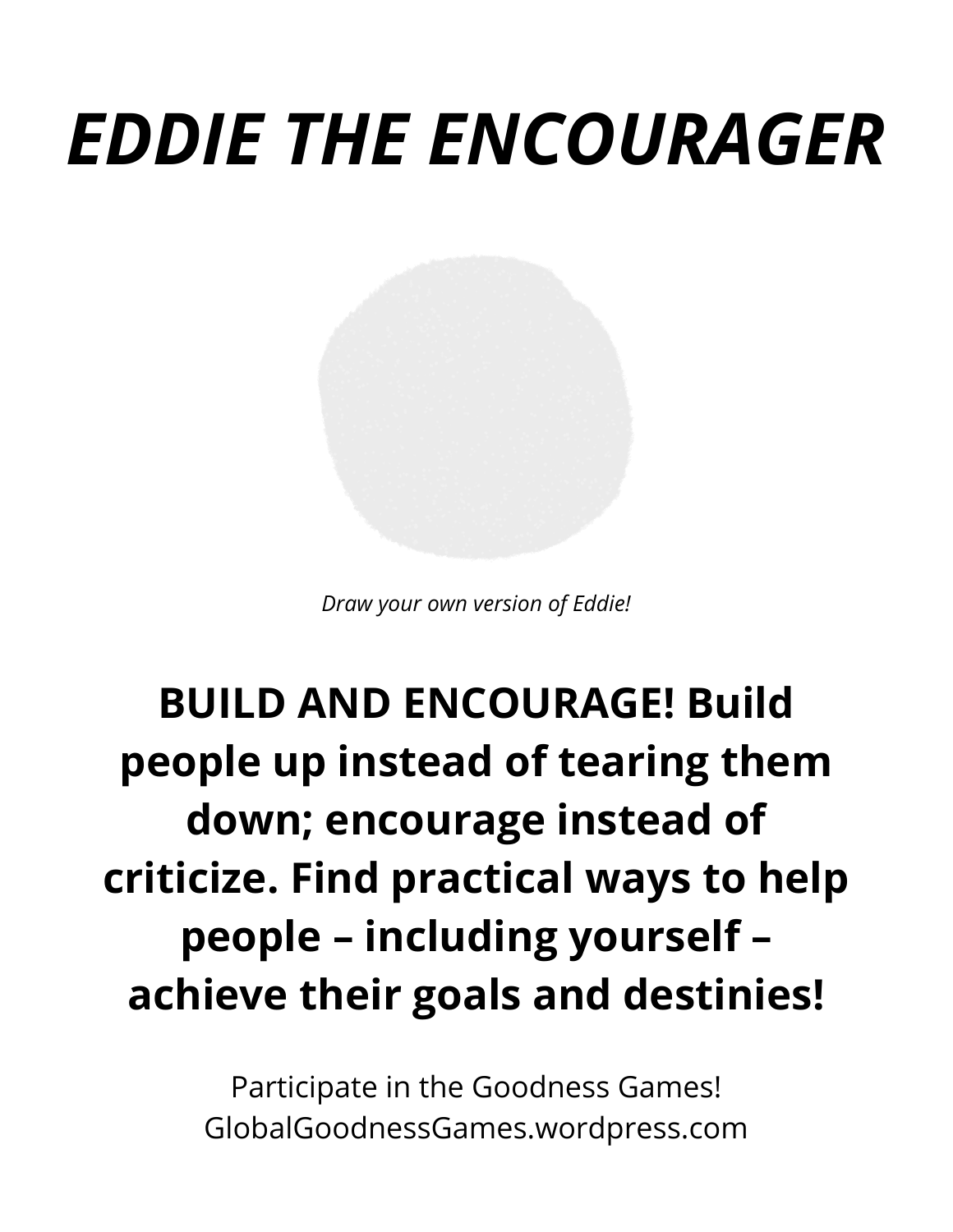# *EDDIE THE ENCOURAGER*

*Draw your own version of Eddie!*

#### **BUILD AND ENCOURAGE! Build people up instead of tearing them down; encourage instead of criticize. Find practical ways to help people – including yourself – achieve their goals and destinies!**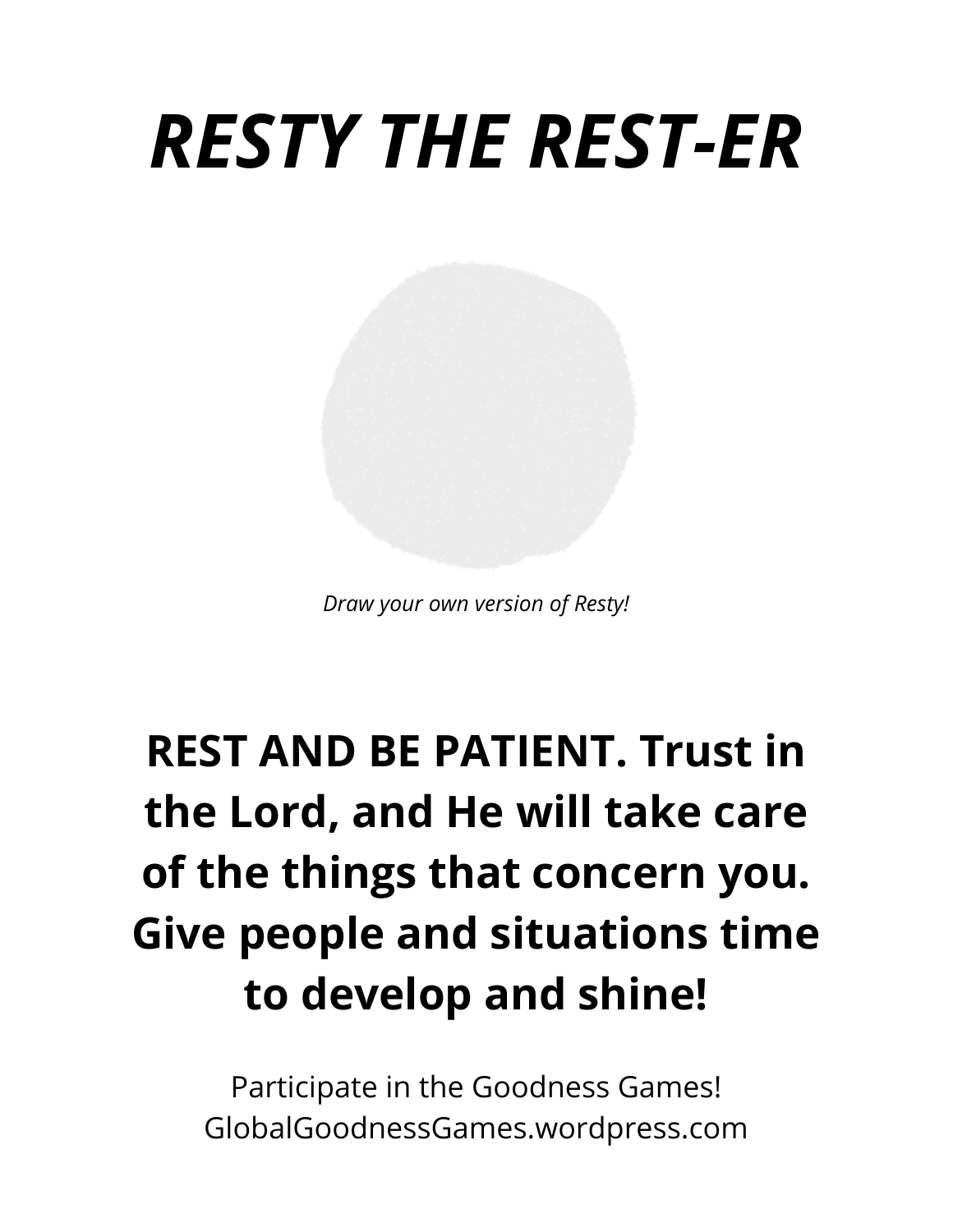### *RESTY THE REST-ER*

*Draw your own version of Resty!*

#### **REST AND BE PATIENT. Trust in the Lord, and He will take care of the things that concern you. Give people and situations time to develop and shine!**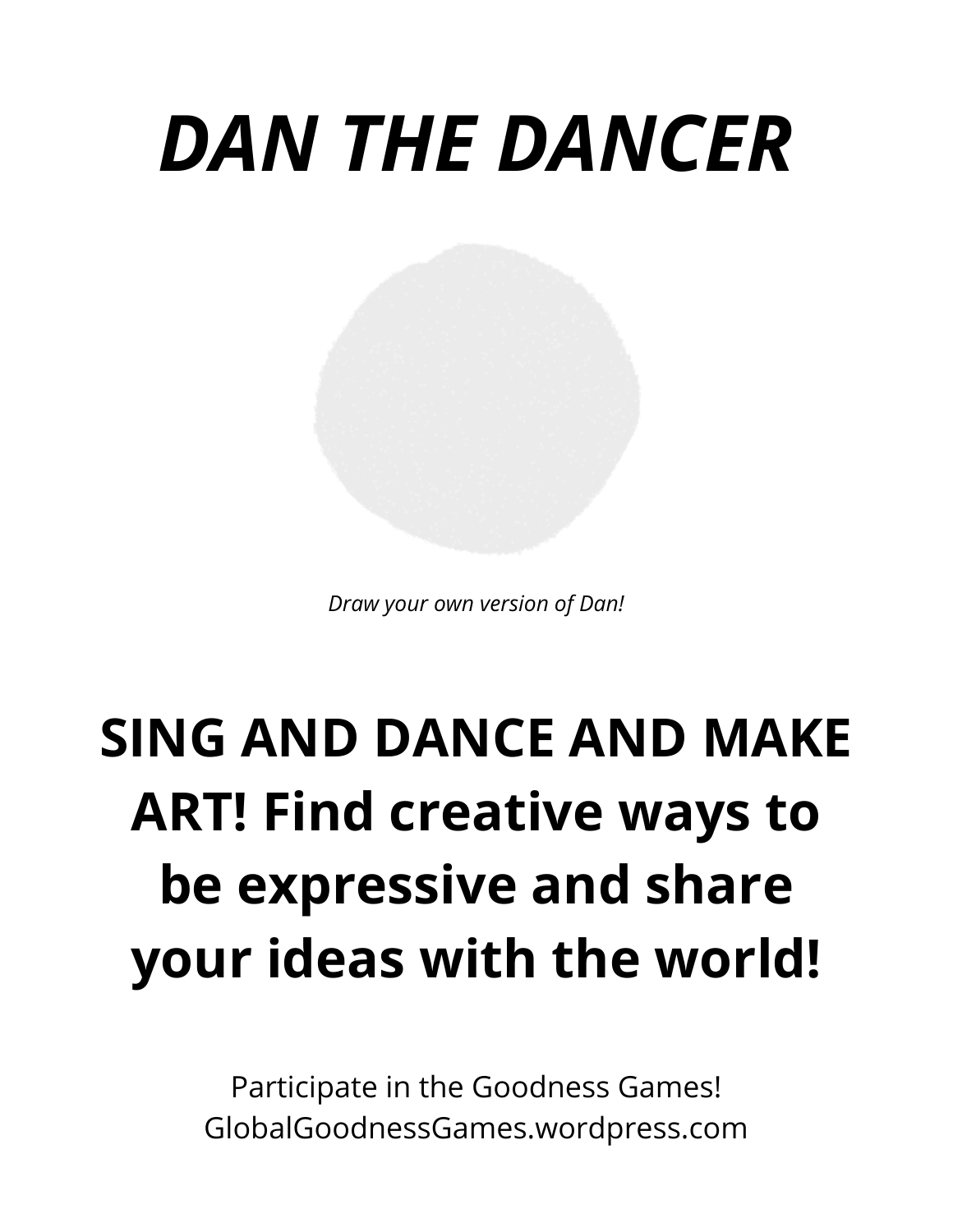# *DAN THE DANCER*

*Draw your own version of Dan!*

### **SING AND DANCE AND MAKE ART! Find creative ways to be expressive and share your ideas with the world!**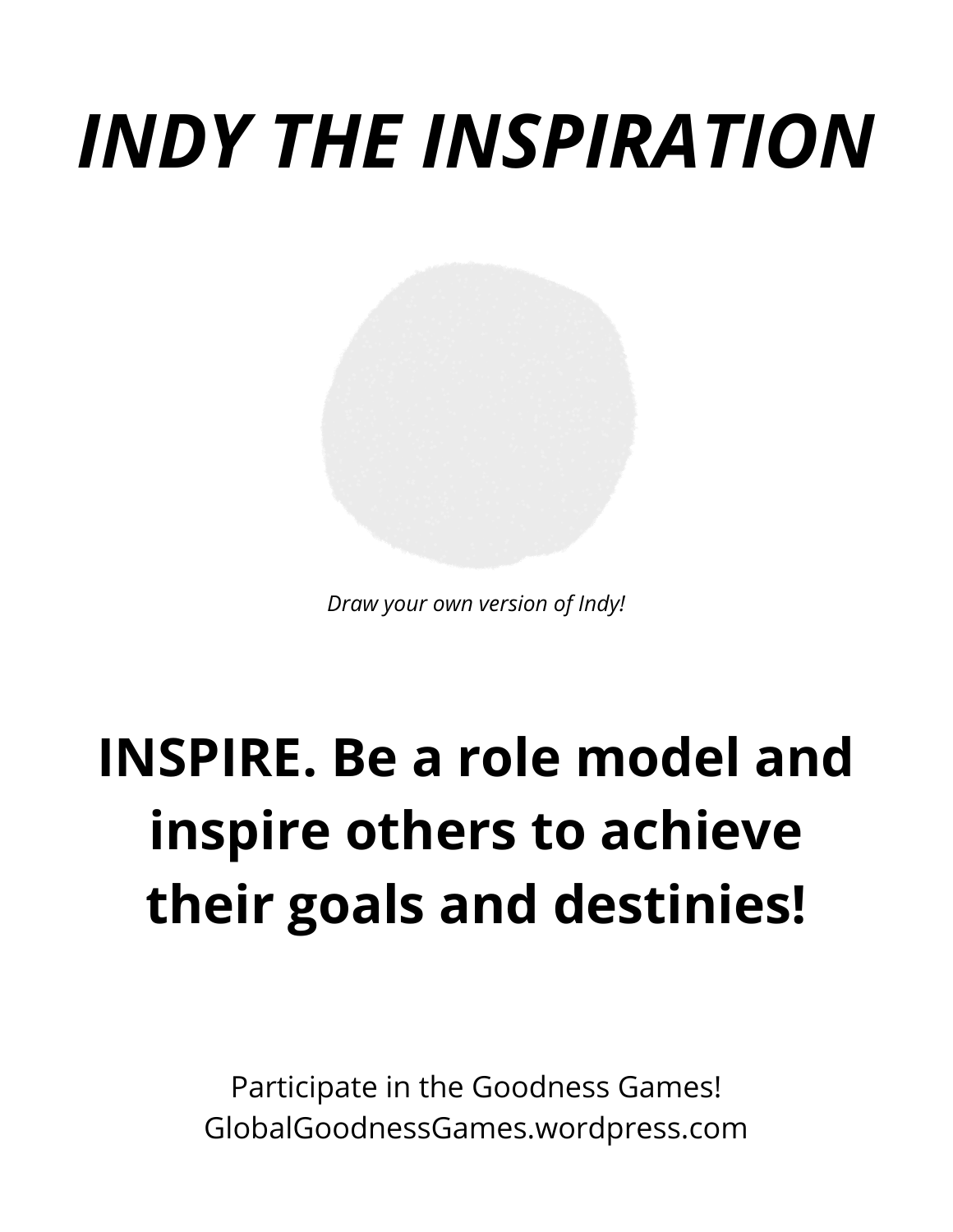# *INDY THE INSPIRATION*

*Draw your own version of Indy!*

### **INSPIRE. Be a role model and inspire others to achieve their goals and destinies!**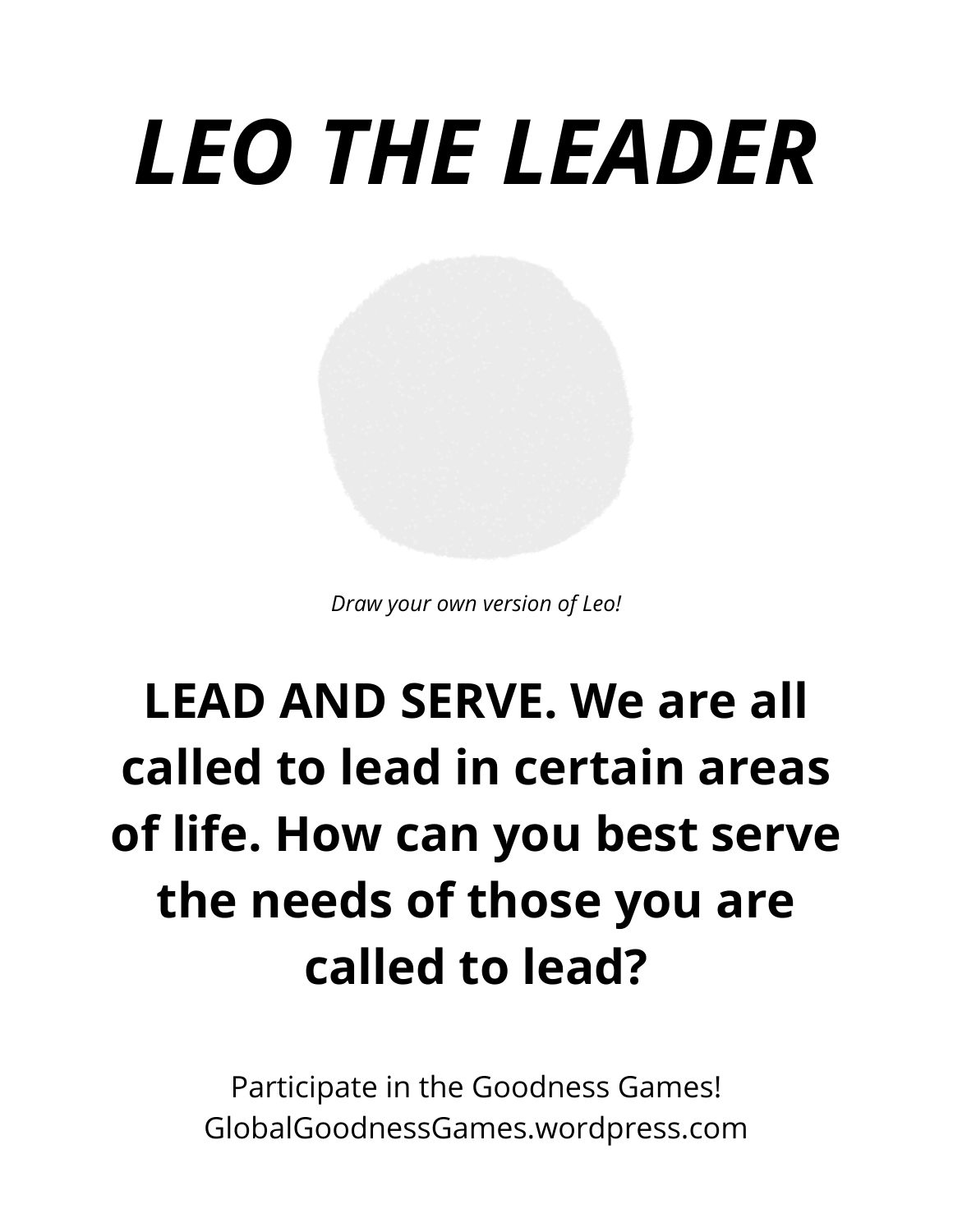# *LEO THE LEADER*

*Draw your own version of Leo!*

### **LEAD AND SERVE. We are all called to lead in certain areas of life. How can you best serve the needs of those you are called to lead?**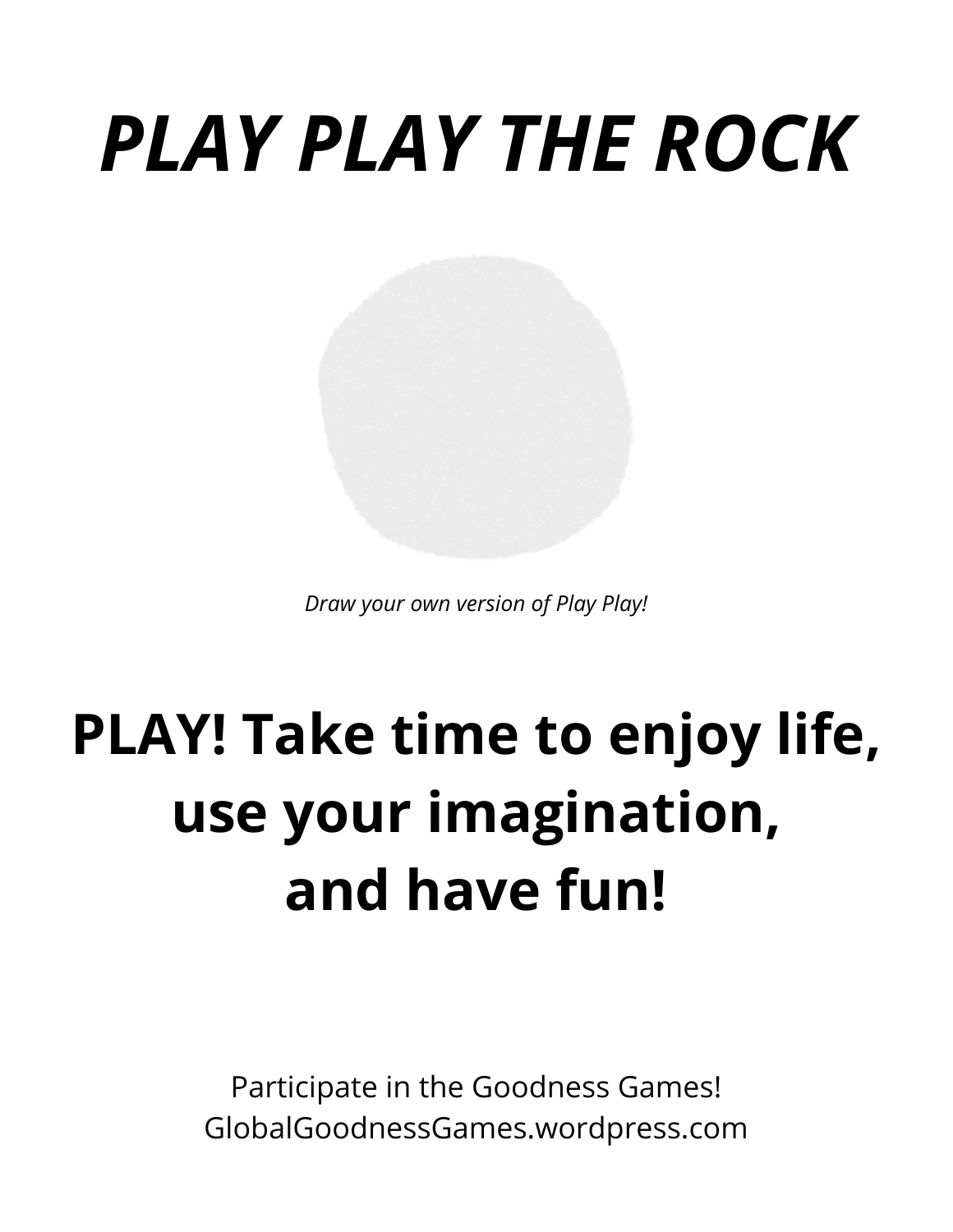# *PLAY PLAY THE ROCK*

*Draw your own version of Play Play!*

### **PLAY! Take time to enjoy life, use your imagination, and have fun!**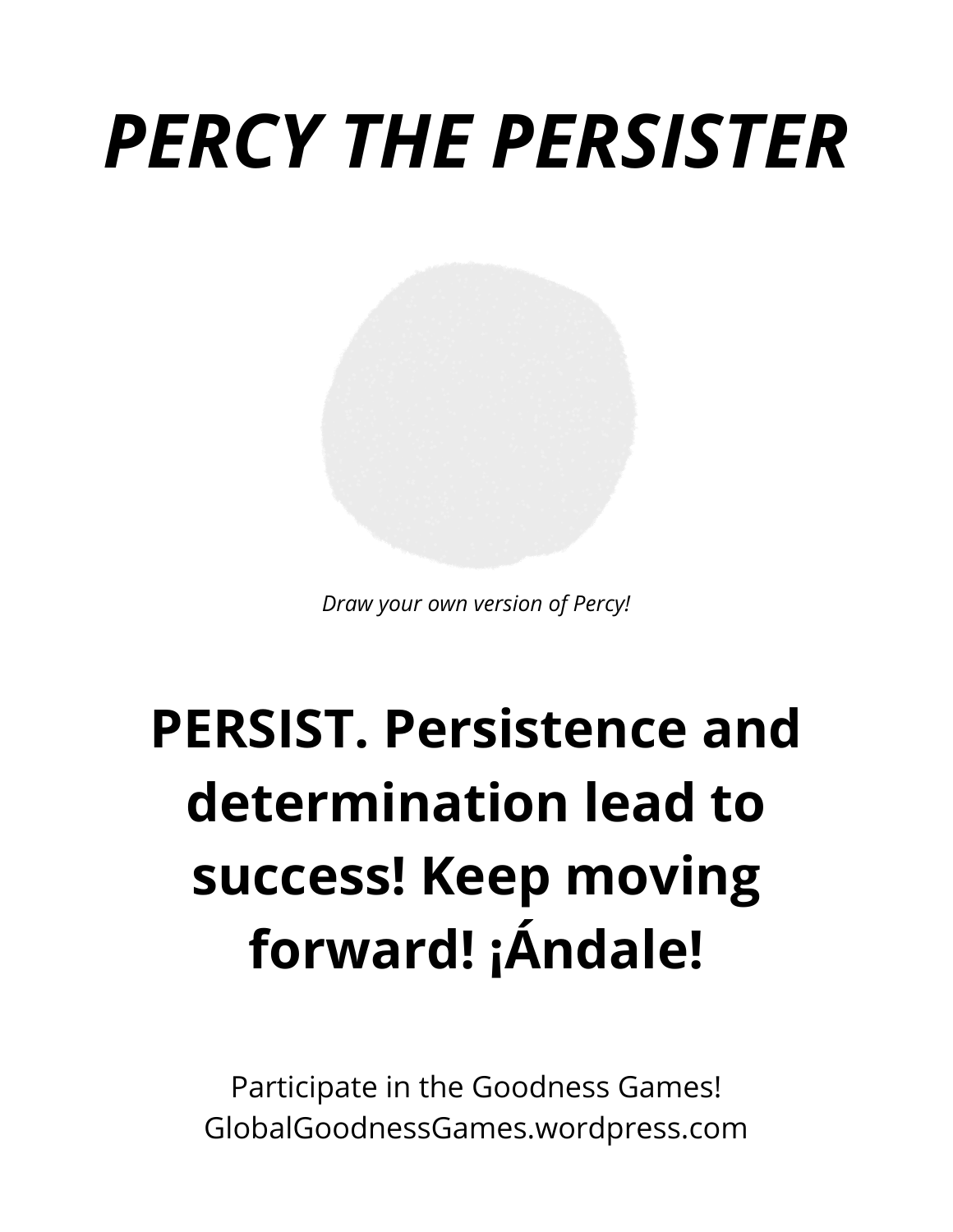# *PERCY THE PERSISTER*

*Draw your own version of Percy!*

### **PERSIST. Persistence and determination lead to success! Keep moving forward! ¡Ándale!**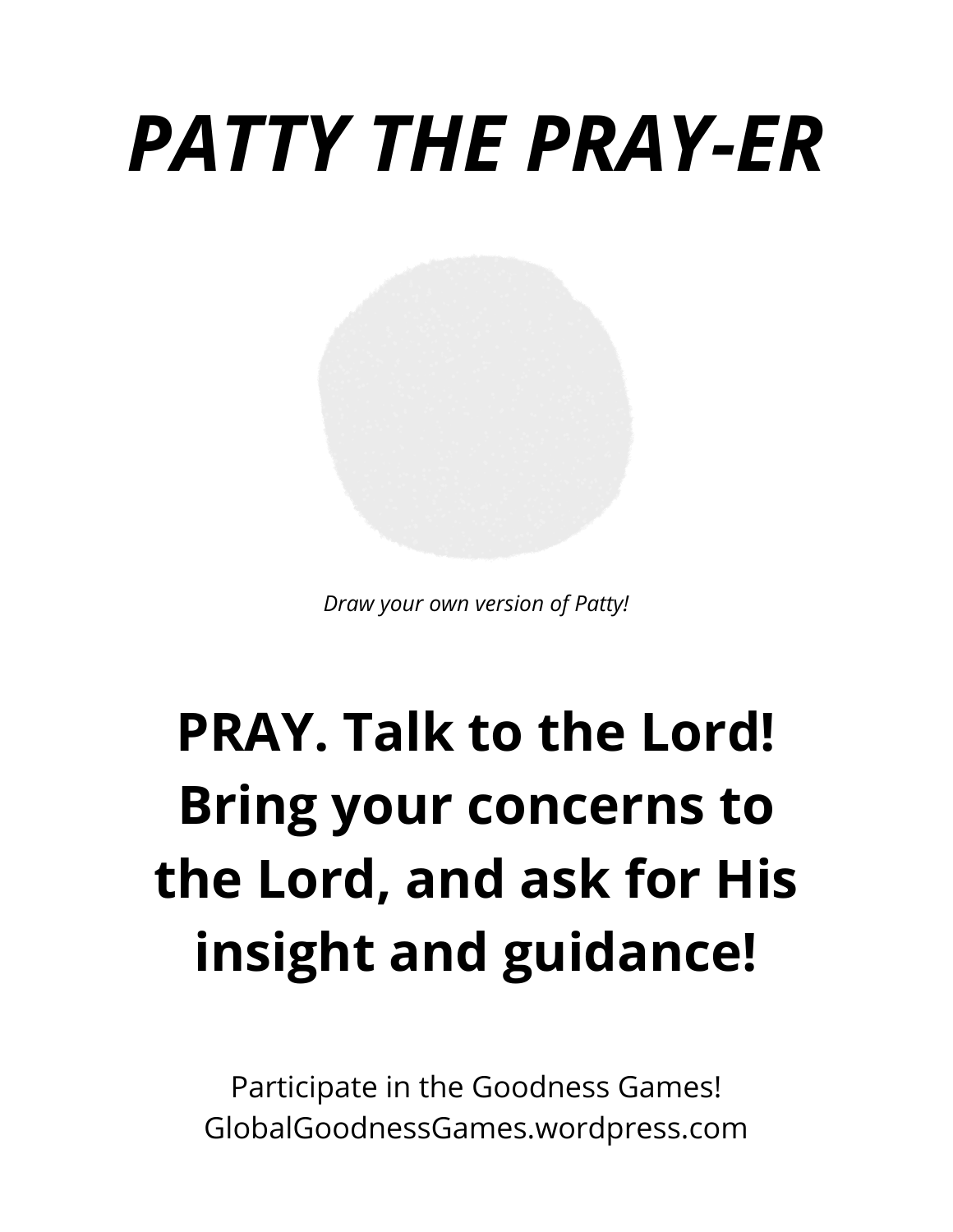# *PATTY THE PRAY-ER*

*Draw your own version of Patty!*

### **PRAY. Talk to the Lord! Bring your concerns to the Lord, and ask for His insight and guidance!**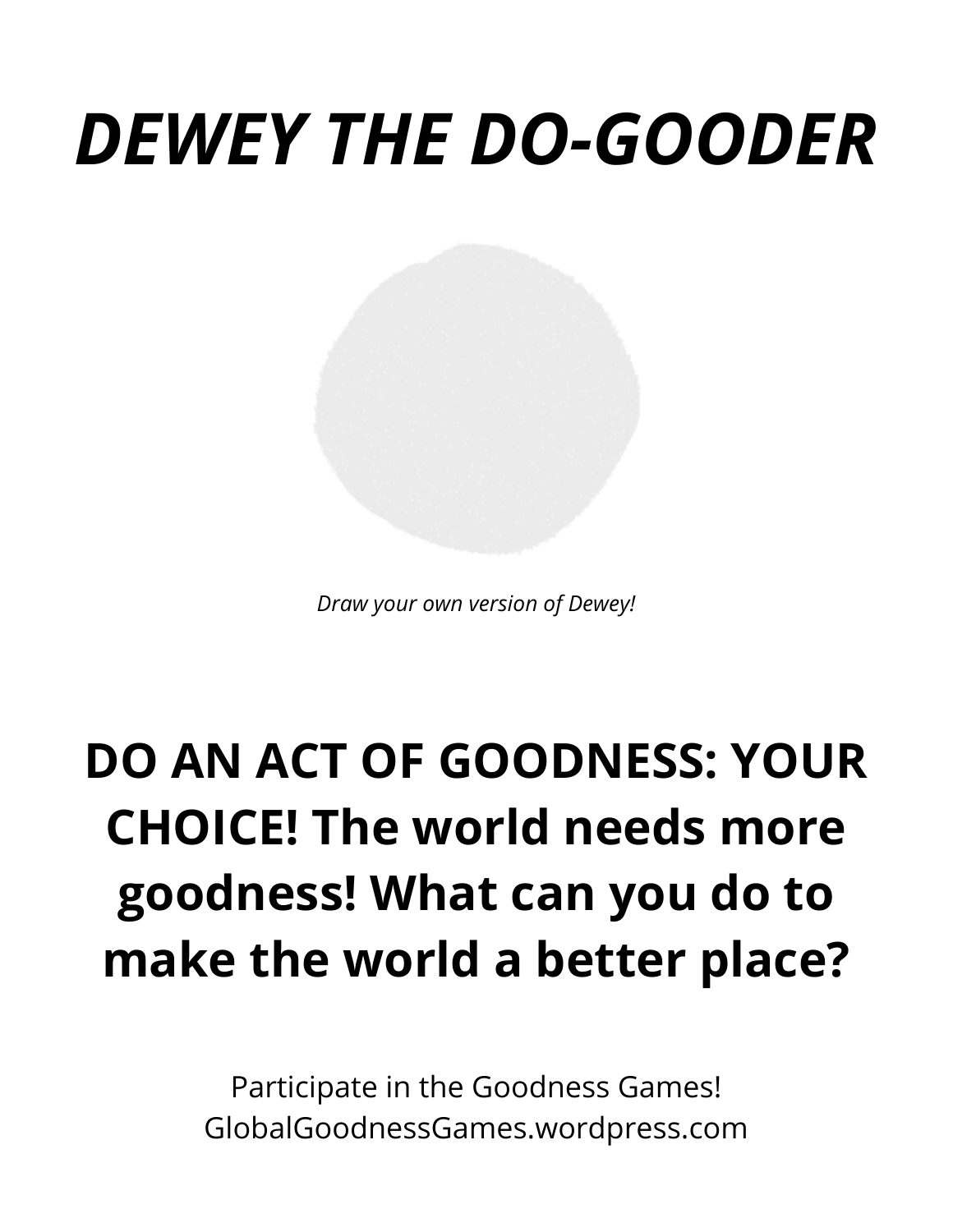### *DEWEY THE DO-GOODER*

*Draw your own version of Dewey!*

### **DO AN ACT OF GOODNESS: YOUR CHOICE! The world needs more goodness! What can you do to make the world a better place?**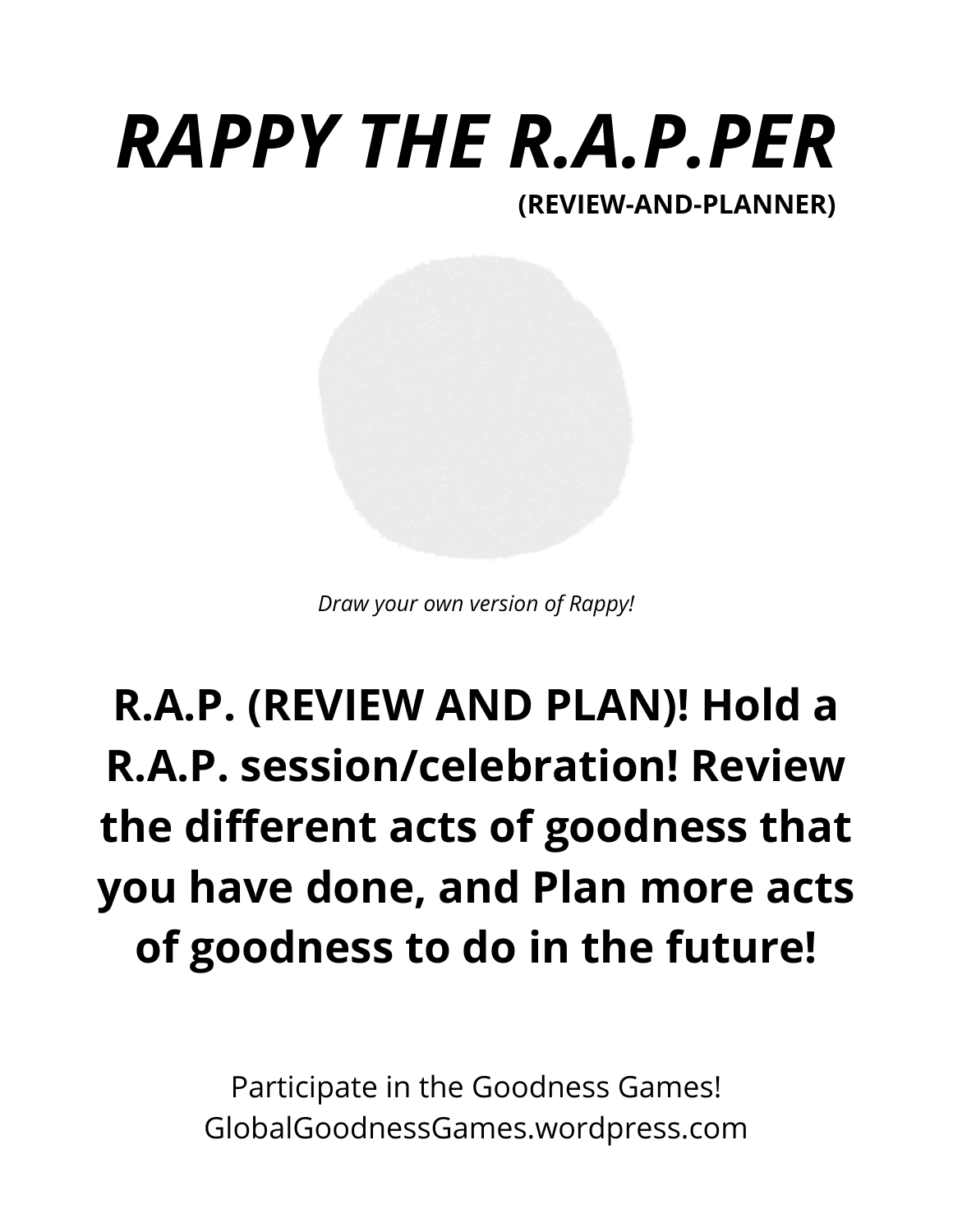# *RAPPY THE R.A.P.PER*

#### **(REVIEW-AND-PLANNER)**

*Draw your own version of Rappy!*

#### **R.A.P. (REVIEW AND PLAN)! Hold a R.A.P. session/celebration! Review the different acts of goodness that you have done, and Plan more acts of goodness to do in the future!**